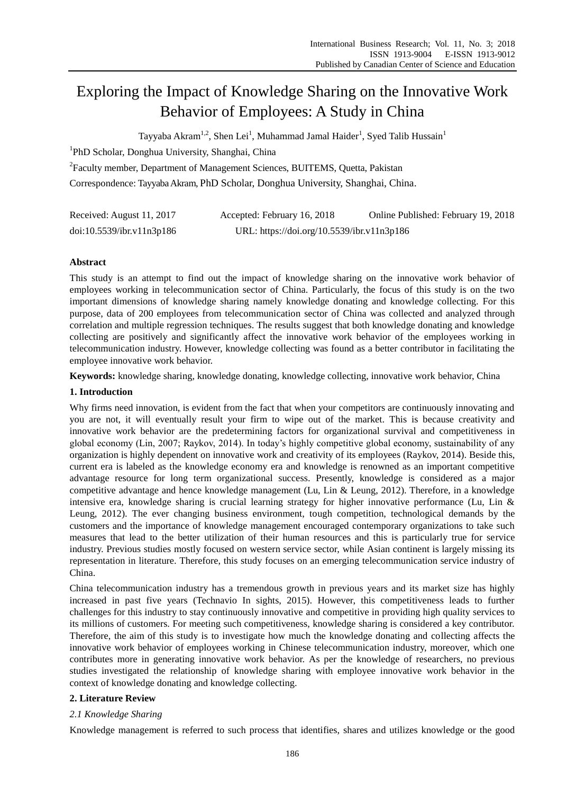# Exploring the Impact of Knowledge Sharing on the Innovative Work Behavior of Employees: A Study in China

Tayyaba Akram<sup>1,2</sup>, Shen Lei<sup>1</sup>, Muhammad Jamal Haider<sup>1</sup>, Syed Talib Hussain<sup>1</sup>

<sup>1</sup>PhD Scholar, Donghua University, Shanghai, China

<sup>2</sup> Faculty member, Department of Management Sciences, BUITEMS, Quetta, Pakistan

Correspondence: Tayyaba Akram, PhD Scholar, Donghua University, Shanghai, China.

| Received: August 11, 2017 | Accepted: February 16, 2018                | Online Published: February 19, 2018 |
|---------------------------|--------------------------------------------|-------------------------------------|
| doi:10.5539/ibr.v11n3p186 | URL: https://doi.org/10.5539/ibr.v11n3p186 |                                     |

# **Abstract**

This study is an attempt to find out the impact of knowledge sharing on the innovative work behavior of employees working in telecommunication sector of China. Particularly, the focus of this study is on the two important dimensions of knowledge sharing namely knowledge donating and knowledge collecting. For this purpose, data of 200 employees from telecommunication sector of China was collected and analyzed through correlation and multiple regression techniques. The results suggest that both knowledge donating and knowledge collecting are positively and significantly affect the innovative work behavior of the employees working in telecommunication industry. However, knowledge collecting was found as a better contributor in facilitating the employee innovative work behavior.

**Keywords:** knowledge sharing, knowledge donating, knowledge collecting, innovative work behavior, China

# **1. Introduction**

Why firms need innovation, is evident from the fact that when your competitors are continuously innovating and you are not, it will eventually result your firm to wipe out of the market. This is because creativity and innovative work behavior are the predetermining factors for organizational survival and competitiveness in global economy (Lin, 2007; Raykov, 2014). In today's highly competitive global economy, sustainability of any organization is highly dependent on innovative work and creativity of its employees (Raykov, 2014). Beside this, current era is labeled as the knowledge economy era and knowledge is renowned as an important competitive advantage resource for long term organizational success. Presently, knowledge is considered as a major competitive advantage and hence knowledge management (Lu, Lin & Leung, 2012). Therefore, in a knowledge intensive era, knowledge sharing is crucial learning strategy for higher innovative performance (Lu, Lin & Leung, 2012). The ever changing business environment, tough competition, technological demands by the customers and the importance of knowledge management encouraged contemporary organizations to take such measures that lead to the better utilization of their human resources and this is particularly true for service industry. Previous studies mostly focused on western service sector, while Asian continent is largely missing its representation in literature. Therefore, this study focuses on an emerging telecommunication service industry of China.

China telecommunication industry has a tremendous growth in previous years and its market size has highly increased in past five years (Technavio In sights, 2015). However, this competitiveness leads to further challenges for this industry to stay continuously innovative and competitive in providing high quality services to its millions of customers. For meeting such competitiveness, knowledge sharing is considered a key contributor. Therefore, the aim of this study is to investigate how much the knowledge donating and collecting affects the innovative work behavior of employees working in Chinese telecommunication industry, moreover, which one contributes more in generating innovative work behavior. As per the knowledge of researchers, no previous studies investigated the relationship of knowledge sharing with employee innovative work behavior in the context of knowledge donating and knowledge collecting.

# **2. Literature Review**

# *2.1 Knowledge Sharing*

Knowledge management is referred to such process that identifies, shares and utilizes knowledge or the good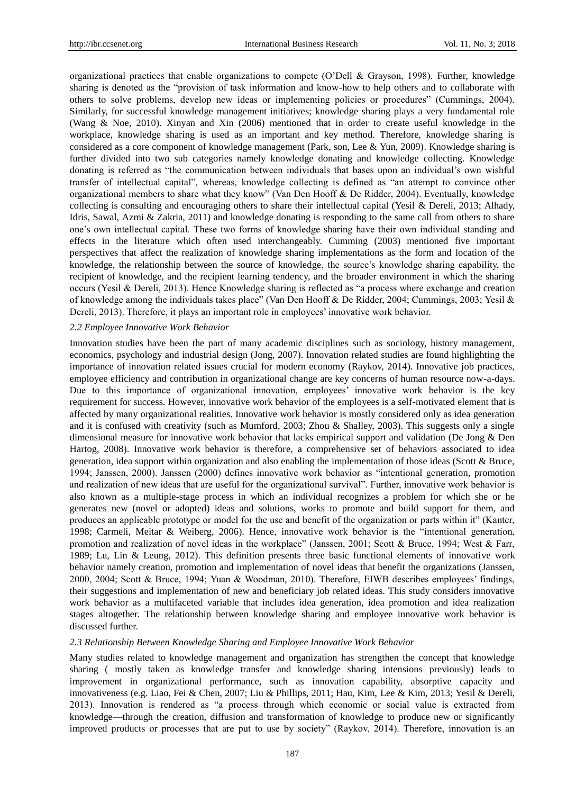organizational practices that enable organizations to compete (O'Dell & Grayson, 1998). Further, knowledge sharing is denoted as the "provision of task information and know-how to help others and to collaborate with others to solve problems, develop new ideas or implementing policies or procedures" (Cummings, 2004). Similarly, for successful knowledge management initiatives; knowledge sharing plays a very fundamental role (Wang & Noe, 2010). Xinyan and Xin (2006) mentioned that in order to create useful knowledge in the workplace, knowledge sharing is used as an important and key method. Therefore, knowledge sharing is considered as a core component of knowledge management (Park, son, Lee & Yun, 2009). Knowledge sharing is further divided into two sub categories namely knowledge donating and knowledge collecting. Knowledge donating is referred as "the communication between individuals that bases upon an individual's own wishful transfer of intellectual capital", whereas, knowledge collecting is defined as "an attempt to convince other organizational members to share what they know" (Van Den Hooff & De Ridder, 2004). Eventually, knowledge collecting is consulting and encouraging others to share their intellectual capital (Yesil & Dereli, 2013; Alhady, Idris, Sawal, Azmi & Zakria, 2011) and knowledge donating is responding to the same call from others to share one's own intellectual capital. These two forms of knowledge sharing have their own individual standing and effects in the literature which often used interchangeably. Cumming (2003) mentioned five important perspectives that affect the realization of knowledge sharing implementations as the form and location of the knowledge, the relationship between the source of knowledge, the source's knowledge sharing capability, the recipient of knowledge, and the recipient learning tendency, and the broader environment in which the sharing occurs (Yesil & Dereli, 2013). Hence Knowledge sharing is reflected as "a process where exchange and creation of knowledge among the individuals takes place" (Van Den Hooff & De Ridder, 2004; Cummings, 2003; Yesil & Dereli, 2013). Therefore, it plays an important role in employees' innovative work behavior.

#### *2.2 Employee Innovative Work Behavior*

Innovation studies have been the part of many academic disciplines such as sociology, history management, economics, psychology and industrial design (Jong, 2007). Innovation related studies are found highlighting the importance of innovation related issues crucial for modern economy (Raykov, 2014). Innovative job practices, employee efficiency and contribution in organizational change are key concerns of human resource now-a-days. Due to this importance of organizational innovation, employees' innovative work behavior is the key requirement for success. However, innovative work behavior of the employees is a self-motivated element that is affected by many organizational realities. Innovative work behavior is mostly considered only as idea generation and it is confused with creativity (such as Mumford, 2003; Zhou & Shalley, 2003). This suggests only a single dimensional measure for innovative work behavior that lacks empirical support and validation (De Jong & Den Hartog, 2008). Innovative work behavior is therefore, a comprehensive set of behaviors associated to idea generation, idea support within organization and also enabling the implementation of those ideas (Scott & Bruce, 1994; Janssen, 2000). Janssen (2000) defines innovative work behavior as "intentional generation, promotion and realization of new ideas that are useful for the organizational survival". Further, innovative work behavior is also known as a multiple-stage process in which an individual recognizes a problem for which she or he generates new (novel or adopted) ideas and solutions, works to promote and build support for them, and produces an applicable prototype or model for the use and benefit of the organization or parts within it" (Kanter, 1998; Carmeli, Meitar & Weiberg, 2006). Hence, innovative work behavior is the "intentional generation, promotion and realization of novel ideas in the workplace" (Janssen, 2001; Scott & Bruce, 1994; West & Farr, 1989; Lu, Lin & Leung, 2012). This definition presents three basic functional elements of innovative work behavior namely creation, promotion and implementation of novel ideas that benefit the organizations (Janssen, 2000, 2004; Scott & Bruce, 1994; Yuan & Woodman, 2010). Therefore, EIWB describes employees' findings, their suggestions and implementation of new and beneficiary job related ideas. This study considers innovative work behavior as a multifaceted variable that includes idea generation, idea promotion and idea realization stages altogether. The relationship between knowledge sharing and employee innovative work behavior is discussed further.

#### *2.3 Relationship Between Knowledge Sharing and Employee Innovative Work Behavior*

Many studies related to knowledge management and organization has strengthen the concept that knowledge sharing ( mostly taken as knowledge transfer and knowledge sharing intensions previously) leads to improvement in organizational performance, such as innovation capability, absorptive capacity and innovativeness (e.g. Liao, Fei & Chen, 2007; Liu & Phillips, 2011; Hau, Kim, Lee & Kim, 2013; Yesil & Dereli, 2013). Innovation is rendered as "a process through which economic or social value is extracted from knowledge—through the creation, diffusion and transformation of knowledge to produce new or significantly improved products or processes that are put to use by society" (Raykov, 2014). Therefore, innovation is an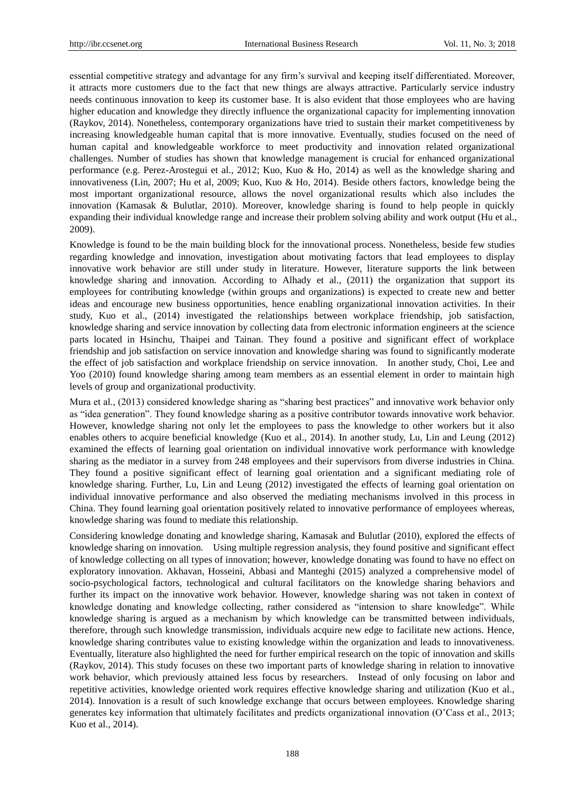essential competitive strategy and advantage for any firm's survival and keeping itself differentiated. Moreover, it attracts more customers due to the fact that new things are always attractive. Particularly service industry needs continuous innovation to keep its customer base. It is also evident that those employees who are having higher education and knowledge they directly influence the organizational capacity for implementing innovation (Raykov, 2014). Nonetheless, contemporary organizations have tried to sustain their market competitiveness by increasing knowledgeable human capital that is more innovative. Eventually, studies focused on the need of human capital and knowledgeable workforce to meet productivity and innovation related organizational challenges. Number of studies has shown that knowledge management is crucial for enhanced organizational performance (e.g. Perez-Arostegui et al., 2012; Kuo, Kuo & Ho, 2014) as well as the knowledge sharing and innovativeness (Lin, 2007; Hu et al, 2009; Kuo, Kuo & Ho, 2014). Beside others factors, knowledge being the most important organizational resource, allows the novel organizational results which also includes the innovation (Kamasak & Bulutlar, 2010). Moreover, knowledge sharing is found to help people in quickly expanding their individual knowledge range and increase their problem solving ability and work output (Hu et al., 2009).

Knowledge is found to be the main building block for the innovational process. Nonetheless, beside few studies regarding knowledge and innovation, investigation about motivating factors that lead employees to display innovative work behavior are still under study in literature. However, literature supports the link between knowledge sharing and innovation. According to Alhady et al., (2011) the organization that support its employees for contributing knowledge (within groups and organizations) is expected to create new and better ideas and encourage new business opportunities, hence enabling organizational innovation activities. In their study, Kuo et al., (2014) investigated the relationships between workplace friendship, job satisfaction, knowledge sharing and service innovation by collecting data from electronic information engineers at the science parts located in Hsinchu, Thaipei and Tainan. They found a positive and significant effect of workplace friendship and job satisfaction on service innovation and knowledge sharing was found to significantly moderate the effect of job satisfaction and workplace friendship on service innovation. In another study, Choi, Lee and Yoo (2010) found knowledge sharing among team members as an essential element in order to maintain high levels of group and organizational productivity.

Mura et al., (2013) considered knowledge sharing as "sharing best practices" and innovative work behavior only as "idea generation". They found knowledge sharing as a positive contributor towards innovative work behavior. However, knowledge sharing not only let the employees to pass the knowledge to other workers but it also enables others to acquire beneficial knowledge (Kuo et al., 2014). In another study, Lu, Lin and Leung (2012) examined the effects of learning goal orientation on individual innovative work performance with knowledge sharing as the mediator in a survey from 248 employees and their supervisors from diverse industries in China. They found a positive significant effect of learning goal orientation and a significant mediating role of knowledge sharing. Further, Lu, Lin and Leung (2012) investigated the effects of learning goal orientation on individual innovative performance and also observed the mediating mechanisms involved in this process in China. They found learning goal orientation positively related to innovative performance of employees whereas, knowledge sharing was found to mediate this relationship.

Considering knowledge donating and knowledge sharing, Kamasak and Bulutlar (2010), explored the effects of knowledge sharing on innovation. Using multiple regression analysis, they found positive and significant effect of knowledge collecting on all types of innovation; however, knowledge donating was found to have no effect on exploratory innovation. Akhavan, Hosseini, Abbasi and Manteghi (2015) analyzed a comprehensive model of socio-psychological factors, technological and cultural facilitators on the knowledge sharing behaviors and further its impact on the innovative work behavior. However, knowledge sharing was not taken in context of knowledge donating and knowledge collecting, rather considered as "intension to share knowledge". While knowledge sharing is argued as a mechanism by which knowledge can be transmitted between individuals, therefore, through such knowledge transmission, individuals acquire new edge to facilitate new actions. Hence, knowledge sharing contributes value to existing knowledge within the organization and leads to innovativeness. Eventually, literature also highlighted the need for further empirical research on the topic of innovation and skills (Raykov, 2014). This study focuses on these two important parts of knowledge sharing in relation to innovative work behavior, which previously attained less focus by researchers. Instead of only focusing on labor and repetitive activities, knowledge oriented work requires effective knowledge sharing and utilization (Kuo et al., 2014). Innovation is a result of such knowledge exchange that occurs between employees. Knowledge sharing generates key information that ultimately facilitates and predicts organizational innovation (O'Cass et al., 2013; Kuo et al., 2014).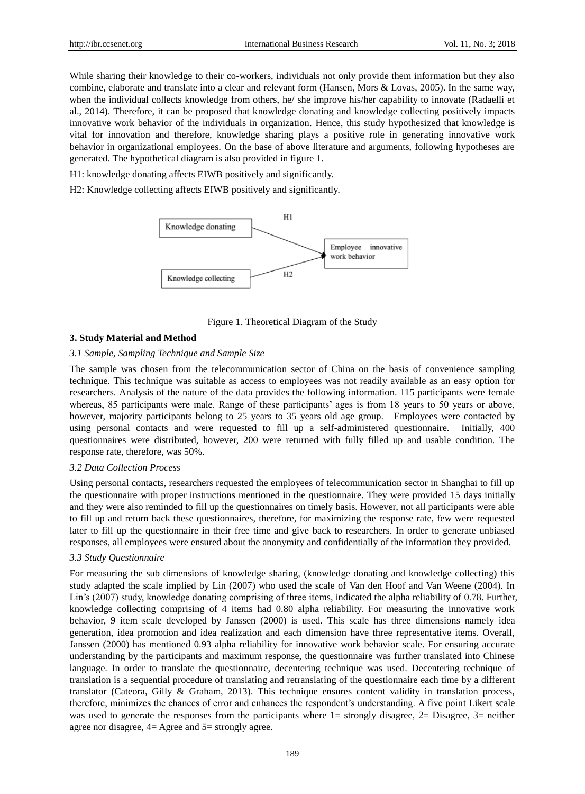While sharing their knowledge to their co-workers, individuals not only provide them information but they also combine, elaborate and translate into a clear and relevant form (Hansen, Mors & Lovas, 2005). In the same way, when the individual collects knowledge from others, he/ she improve his/her capability to innovate (Radaelli et al., 2014). Therefore, it can be proposed that knowledge donating and knowledge collecting positively impacts innovative work behavior of the individuals in organization. Hence, this study hypothesized that knowledge is vital for innovation and therefore, knowledge sharing plays a positive role in generating innovative work behavior in organizational employees. On the base of above literature and arguments, following hypotheses are generated. The hypothetical diagram is also provided in figure 1.

H1: knowledge donating affects EIWB positively and significantly.

H2: Knowledge collecting affects EIWB positively and significantly.



Figure 1. Theoretical Diagram of the Study

## **3. Study Material and Method**

#### *3.1 Sample, Sampling Technique and Sample Size*

The sample was chosen from the telecommunication sector of China on the basis of convenience sampling technique. This technique was suitable as access to employees was not readily available as an easy option for researchers. Analysis of the nature of the data provides the following information. 115 participants were female whereas, 85 participants were male. Range of these participants' ages is from 18 years to 50 years or above, however, majority participants belong to 25 years to 35 years old age group. Employees were contacted by using personal contacts and were requested to fill up a self-administered questionnaire. Initially, 400 questionnaires were distributed, however, 200 were returned with fully filled up and usable condition. The response rate, therefore, was 50%.

#### *3.2 Data Collection Process*

Using personal contacts, researchers requested the employees of telecommunication sector in Shanghai to fill up the questionnaire with proper instructions mentioned in the questionnaire. They were provided 15 days initially and they were also reminded to fill up the questionnaires on timely basis. However, not all participants were able to fill up and return back these questionnaires, therefore, for maximizing the response rate, few were requested later to fill up the questionnaire in their free time and give back to researchers. In order to generate unbiased responses, all employees were ensured about the anonymity and confidentially of the information they provided.

#### *3.3 Study Questionnaire*

For measuring the sub dimensions of knowledge sharing, (knowledge donating and knowledge collecting) this study adapted the scale implied by Lin (2007) who used the scale of Van den Hoof and Van Weene (2004). In Lin's (2007) study, knowledge donating comprising of three items, indicated the alpha reliability of 0.78. Further, knowledge collecting comprising of 4 items had 0.80 alpha reliability. For measuring the innovative work behavior, 9 item scale developed by Janssen (2000) is used. This scale has three dimensions namely idea generation, idea promotion and idea realization and each dimension have three representative items. Overall, Janssen (2000) has mentioned 0.93 alpha reliability for innovative work behavior scale. For ensuring accurate understanding by the participants and maximum response, the questionnaire was further translated into Chinese language. In order to translate the questionnaire, decentering technique was used. Decentering technique of translation is a sequential procedure of translating and retranslating of the questionnaire each time by a different translator (Cateora, Gilly & Graham, 2013). This technique ensures content validity in translation process, therefore, minimizes the chances of error and enhances the respondent's understanding. A five point Likert scale was used to generate the responses from the participants where 1= strongly disagree, 2= Disagree, 3= neither agree nor disagree, 4= Agree and 5= strongly agree.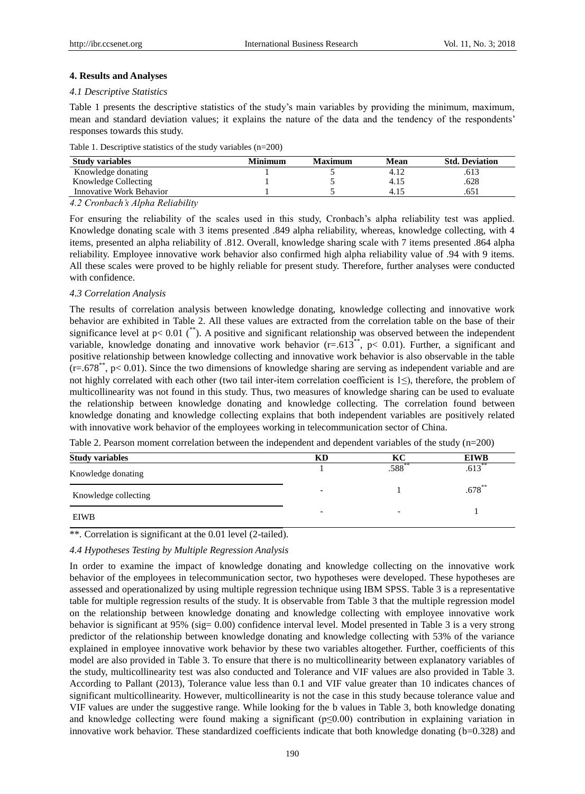## **4. Results and Analyses**

#### *4.1 Descriptive Statistics*

Table 1 presents the descriptive statistics of the study's main variables by providing the minimum, maximum, mean and standard deviation values; it explains the nature of the data and the tendency of the respondents' responses towards this study.

|  |  |  | Table 1. Descriptive statistics of the study variables $(n=200)$ |  |
|--|--|--|------------------------------------------------------------------|--|
|  |  |  |                                                                  |  |

| Minimum | Maximum | Mean | <b>Std. Deviation</b> |  |
|---------|---------|------|-----------------------|--|
|         |         | 4.12 | .613                  |  |
|         |         | 4.15 | .628                  |  |
|         |         | 4.15 |                       |  |
|         |         |      |                       |  |

*4.2 Cronbach's Alpha Reliability*

For ensuring the reliability of the scales used in this study, Cronbach's alpha reliability test was applied. Knowledge donating scale with 3 items presented .849 alpha reliability, whereas, knowledge collecting, with 4 items, presented an alpha reliability of .812. Overall, knowledge sharing scale with 7 items presented .864 alpha reliability. Employee innovative work behavior also confirmed high alpha reliability value of .94 with 9 items. All these scales were proved to be highly reliable for present study. Therefore, further analyses were conducted with confidence.

#### *4.3 Correlation Analysis*

The results of correlation analysis between knowledge donating, knowledge collecting and innovative work behavior are exhibited in Table 2. All these values are extracted from the correlation table on the base of their significance level at  $p < 0.01$  (<sup>\*\*</sup>). A positive and significant relationship was observed between the independent variable, knowledge donating and innovative work behavior ( $r=.613**$ ,  $p< 0.01$ ). Further, a significant and positive relationship between knowledge collecting and innovative work behavior is also observable in the table  $(r=678^{**}, p< 0.01)$ . Since the two dimensions of knowledge sharing are serving as independent variable and are not highly correlated with each other (two tail inter-item correlation coefficient is 1≤), therefore, the problem of multicollinearity was not found in this study. Thus, two measures of knowledge sharing can be used to evaluate the relationship between knowledge donating and knowledge collecting. The correlation found between knowledge donating and knowledge collecting explains that both independent variables are positively related with innovative work behavior of the employees working in telecommunication sector of China.

Table 2. Pearson moment correlation between the independent and dependent variables of the study (n=200)

| <b>Study variables</b> | KD                       | KС                       | <b>EIWB</b> |
|------------------------|--------------------------|--------------------------|-------------|
| Knowledge donating     |                          | 588                      | .613        |
| Knowledge collecting   | $\overline{\phantom{0}}$ |                          | $.678^{**}$ |
| <b>EIWB</b>            | $\overline{\phantom{0}}$ | $\overline{\phantom{0}}$ |             |

\*\*. Correlation is significant at the 0.01 level (2-tailed).

#### *4.4 Hypotheses Testing by Multiple Regression Analysis*

In order to examine the impact of knowledge donating and knowledge collecting on the innovative work behavior of the employees in telecommunication sector, two hypotheses were developed. These hypotheses are assessed and operationalized by using multiple regression technique using IBM SPSS. Table 3 is a representative table for multiple regression results of the study. It is observable from Table 3 that the multiple regression model on the relationship between knowledge donating and knowledge collecting with employee innovative work behavior is significant at 95% (sig= 0.00) confidence interval level. Model presented in Table 3 is a very strong predictor of the relationship between knowledge donating and knowledge collecting with 53% of the variance explained in employee innovative work behavior by these two variables altogether. Further, coefficients of this model are also provided in Table 3. To ensure that there is no multicollinearity between explanatory variables of the study, multicollinearity test was also conducted and Tolerance and VIF values are also provided in Table 3. According to Pallant (2013), Tolerance value less than 0.1 and VIF value greater than 10 indicates chances of significant multicollinearity. However, multicollinearity is not the case in this study because tolerance value and VIF values are under the suggestive range. While looking for the b values in Table 3, both knowledge donating and knowledge collecting were found making a significant  $(p \leq 0.00)$  contribution in explaining variation in innovative work behavior. These standardized coefficients indicate that both knowledge donating (b=0.328) and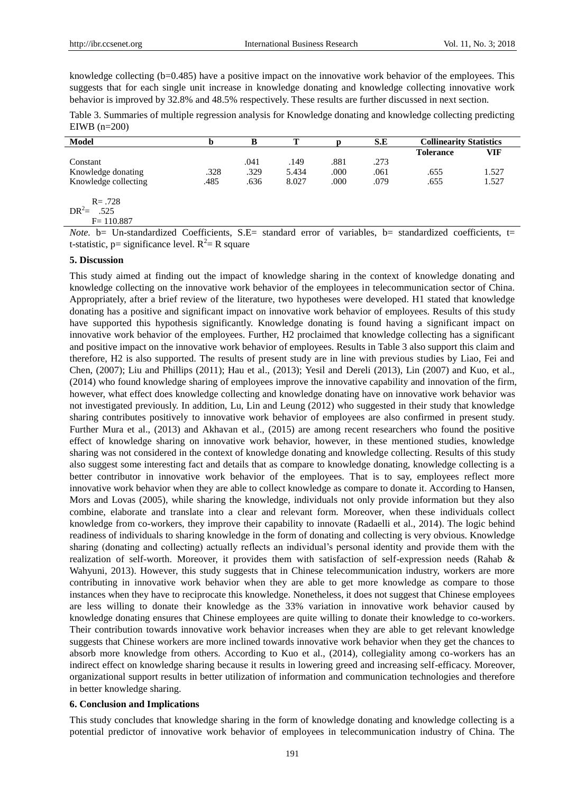knowledge collecting (b=0.485) have a positive impact on the innovative work behavior of the employees. This suggests that for each single unit increase in knowledge donating and knowledge collecting innovative work behavior is improved by 32.8% and 48.5% respectively. These results are further discussed in next section.

Table 3. Summaries of multiple regression analysis for Knowledge donating and knowledge collecting predicting EIWB (n=200)

| <b>Model</b>                                                                             | n                                                   | в                    | т                                        |                                   | S.E          | <b>Collinearity Statistics</b> |        |
|------------------------------------------------------------------------------------------|-----------------------------------------------------|----------------------|------------------------------------------|-----------------------------------|--------------|--------------------------------|--------|
|                                                                                          |                                                     |                      |                                          |                                   |              | <b>Tolerance</b>               | VIF    |
| Constant                                                                                 |                                                     | .041                 | .149                                     | .881                              | .273         |                                |        |
| Knowledge donating                                                                       | .328                                                | .329                 | 5.434                                    | .000                              | .061         | .655                           | 1.527  |
| Knowledge collecting                                                                     | .485                                                | .636                 | 8.027                                    | .000                              | .079         | .655                           | 1.527  |
| $R = .728$                                                                               |                                                     |                      |                                          |                                   |              |                                |        |
| $DR^2 =$<br>.525                                                                         |                                                     |                      |                                          |                                   |              |                                |        |
| $F = 110.887$                                                                            |                                                     |                      |                                          |                                   |              |                                |        |
| $\mathbf{v}$ , and $\mathbf{v}$ , and $\mathbf{v}$ , and $\mathbf{v}$<br>$\cdot$ $\cdot$ | $\sim$<br>$\sim$<br>the contract of the contract of | $\sim$ $\sim$ $\sim$ | $\mathbf{r}$<br>$\overline{\phantom{a}}$ | $\cdot$ $\cdot$ $\cdot$<br>$\sim$ | $\mathbf{r}$ | $\sim$ $\sim$<br>$\cdot$       | $\sim$ |

*Note.* b= Un-standardized Coefficients, S.E= standard error of variables, b= standardized coefficients, t= t-statistic, p= significance level.  $R^2 = R$  square

## **5. Discussion**

This study aimed at finding out the impact of knowledge sharing in the context of knowledge donating and knowledge collecting on the innovative work behavior of the employees in telecommunication sector of China. Appropriately, after a brief review of the literature, two hypotheses were developed. H1 stated that knowledge donating has a positive and significant impact on innovative work behavior of employees. Results of this study have supported this hypothesis significantly. Knowledge donating is found having a significant impact on innovative work behavior of the employees. Further, H2 proclaimed that knowledge collecting has a significant and positive impact on the innovative work behavior of employees. Results in Table 3 also support this claim and therefore, H2 is also supported. The results of present study are in line with previous studies by Liao, Fei and Chen, (2007); Liu and Phillips (2011); Hau et al., (2013); Yesil and Dereli (2013), Lin (2007) and Kuo, et al., (2014) who found knowledge sharing of employees improve the innovative capability and innovation of the firm, however, what effect does knowledge collecting and knowledge donating have on innovative work behavior was not investigated previously. In addition, Lu, Lin and Leung (2012) who suggested in their study that knowledge sharing contributes positively to innovative work behavior of employees are also confirmed in present study. Further Mura et al., (2013) and Akhavan et al., (2015) are among recent researchers who found the positive effect of knowledge sharing on innovative work behavior, however, in these mentioned studies, knowledge sharing was not considered in the context of knowledge donating and knowledge collecting. Results of this study also suggest some interesting fact and details that as compare to knowledge donating, knowledge collecting is a better contributor in innovative work behavior of the employees. That is to say, employees reflect more innovative work behavior when they are able to collect knowledge as compare to donate it. According to Hansen, Mors and Lovas (2005), while sharing the knowledge, individuals not only provide information but they also combine, elaborate and translate into a clear and relevant form. Moreover, when these individuals collect knowledge from co-workers, they improve their capability to innovate (Radaelli et al., 2014). The logic behind readiness of individuals to sharing knowledge in the form of donating and collecting is very obvious. Knowledge sharing (donating and collecting) actually reflects an individual's personal identity and provide them with the realization of self-worth. Moreover, it provides them with satisfaction of self-expression needs (Rahab & Wahyuni, 2013). However, this study suggests that in Chinese telecommunication industry, workers are more contributing in innovative work behavior when they are able to get more knowledge as compare to those instances when they have to reciprocate this knowledge. Nonetheless, it does not suggest that Chinese employees are less willing to donate their knowledge as the 33% variation in innovative work behavior caused by knowledge donating ensures that Chinese employees are quite willing to donate their knowledge to co-workers. Their contribution towards innovative work behavior increases when they are able to get relevant knowledge suggests that Chinese workers are more inclined towards innovative work behavior when they get the chances to absorb more knowledge from others. According to Kuo et al., (2014), collegiality among co-workers has an indirect effect on knowledge sharing because it results in lowering greed and increasing self-efficacy. Moreover, organizational support results in better utilization of information and communication technologies and therefore in better knowledge sharing.

#### **6. Conclusion and Implications**

This study concludes that knowledge sharing in the form of knowledge donating and knowledge collecting is a potential predictor of innovative work behavior of employees in telecommunication industry of China. The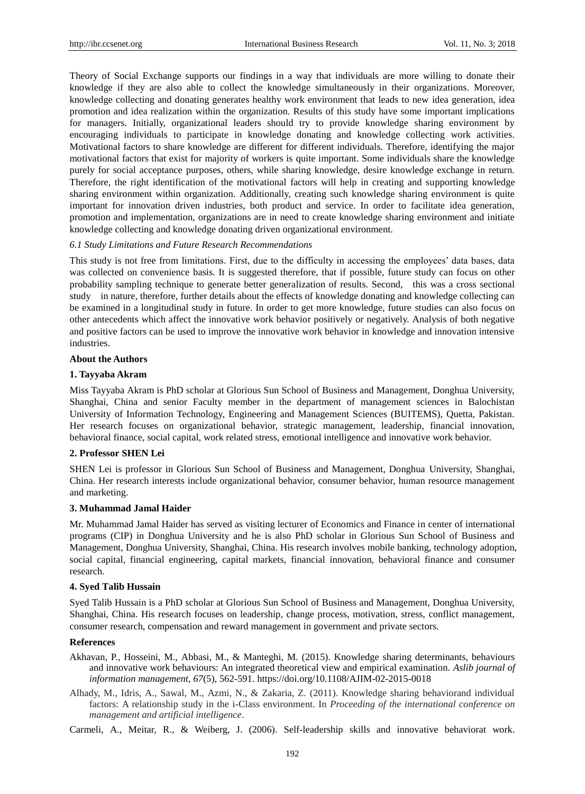Theory of Social Exchange supports our findings in a way that individuals are more willing to donate their knowledge if they are also able to collect the knowledge simultaneously in their organizations. Moreover, knowledge collecting and donating generates healthy work environment that leads to new idea generation, idea promotion and idea realization within the organization. Results of this study have some important implications for managers. Initially, organizational leaders should try to provide knowledge sharing environment by encouraging individuals to participate in knowledge donating and knowledge collecting work activities. Motivational factors to share knowledge are different for different individuals. Therefore, identifying the major motivational factors that exist for majority of workers is quite important. Some individuals share the knowledge purely for social acceptance purposes, others, while sharing knowledge, desire knowledge exchange in return. Therefore, the right identification of the motivational factors will help in creating and supporting knowledge sharing environment within organization. Additionally, creating such knowledge sharing environment is quite important for innovation driven industries, both product and service. In order to facilitate idea generation, promotion and implementation, organizations are in need to create knowledge sharing environment and initiate knowledge collecting and knowledge donating driven organizational environment.

# *6.1 Study Limitations and Future Research Recommendations*

This study is not free from limitations. First, due to the difficulty in accessing the employees' data bases, data was collected on convenience basis. It is suggested therefore, that if possible, future study can focus on other probability sampling technique to generate better generalization of results. Second, this was a cross sectional study in nature, therefore, further details about the effects of knowledge donating and knowledge collecting can be examined in a longitudinal study in future. In order to get more knowledge, future studies can also focus on other antecedents which affect the innovative work behavior positively or negatively. Analysis of both negative and positive factors can be used to improve the innovative work behavior in knowledge and innovation intensive industries.

# **About the Authors**

# **1. Tayyaba Akram**

Miss Tayyaba Akram is PhD scholar at Glorious Sun School of Business and Management, Donghua University, Shanghai, China and senior Faculty member in the department of management sciences in Balochistan University of Information Technology, Engineering and Management Sciences (BUITEMS), Quetta, Pakistan. Her research focuses on organizational behavior, strategic management, leadership, financial innovation, behavioral finance, social capital, work related stress, emotional intelligence and innovative work behavior.

# **2. Professor SHEN Lei**

SHEN Lei is professor in Glorious Sun School of Business and Management, Donghua University, Shanghai, China. Her research interests include organizational behavior, consumer behavior, human resource management and marketing.

#### **3. Muhammad Jamal Haider**

Mr. Muhammad Jamal Haider has served as visiting lecturer of Economics and Finance in center of international programs (CIP) in Donghua University and he is also PhD scholar in Glorious Sun School of Business and Management, Donghua University, Shanghai, China. His research involves mobile banking, technology adoption, social capital, financial engineering, capital markets, financial innovation, behavioral finance and consumer research.

#### **4. Syed Talib Hussain**

Syed Talib Hussain is a PhD scholar at Glorious Sun School of Business and Management, Donghua University, Shanghai, China. His research focuses on leadership, change process, motivation, stress, conflict management, consumer research, compensation and reward management in government and private sectors.

#### **References**

- Akhavan, P., Hosseini, M., Abbasi, M., & Manteghi, M. (2015). Knowledge sharing determinants, behaviours and innovative work behaviours: An integrated theoretical view and empirical examination. *Aslib journal of information management, 67*(5), 562-591. https://doi.org/10.1108/AJIM-02-2015-0018
- Alhady, M., Idris, A., Sawal, M., Azmi, N., & Zakaria, Z. (2011). Knowledge sharing behaviorand individual factors: A relationship study in the i-Class environment. In *Proceeding of the international conference on management and artificial intelligence*.
- Carmeli, A., Meitar, R., & Weiberg, J. (2006). Self-leadership skills and innovative behaviorat work.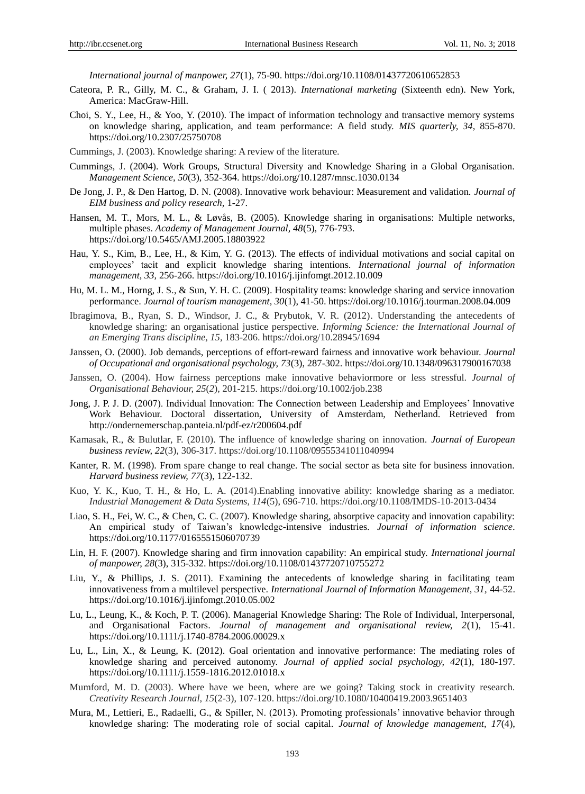*International journal of manpower, 27*(1), 75-90. https://doi.org/10.1108/01437720610652853

- Cateora, P. R., Gilly, M. C., & Graham, J. I. ( 2013). *International marketing* (Sixteenth edn). New York, America: MacGraw-Hill.
- Choi, S. Y., Lee, H., & Yoo, Y. (2010). The impact of information technology and transactive memory systems on knowledge sharing, application, and team performance: A field study. *MIS quarterly, 34,* 855-870. https://doi.org/10.2307/25750708
- Cummings, J. (2003). Knowledge sharing: A review of the literature.
- Cummings, J. (2004). Work Groups, Structural Diversity and Knowledge Sharing in a Global Organisation. *Management Science, 50*(3), 352-364. https://doi.org/10.1287/mnsc.1030.0134
- De Jong, J. P., & Den Hartog, D. N. (2008). Innovative work behaviour: Measurement and validation. *Journal of EIM business and policy research,* 1-27.
- Hansen, M. T., Mors, M. L., & Løvås, B. (2005). Knowledge sharing in organisations: Multiple networks, multiple phases. *Academy of Management Journal, 48*(5), 776-793. https://doi.org/10.5465/AMJ.2005.18803922
- Hau, Y. S., Kim, B., Lee, H., & Kim, Y. G. (2013). The effects of individual motivations and social capital on employees' tacit and explicit knowledge sharing intentions. *International journal of information management, 33,* 256-266. https://doi.org/10.1016/j.ijinfomgt.2012.10.009
- Hu, M. L. M., Horng, J. S., & Sun, Y. H. C. (2009). Hospitality teams: knowledge sharing and service innovation performance. *Journal of tourism management, 30*(1), 41-50. https://doi.org/10.1016/j.tourman.2008.04.009
- Ibragimova, B., Ryan, S. D., Windsor, J. C., & Prybutok, V. R. (2012). Understanding the antecedents of knowledge sharing: an organisational justice perspective. *Informing Science: the International Journal of an Emerging Trans discipline, 15,* 183-206. https://doi.org/10.28945/1694
- Janssen, O. (2000). Job demands, perceptions of effort-reward fairness and innovative work behaviour. *Journal of Occupational and organisational psychology, 73*(3), 287-302. https://doi.org/10.1348/096317900167038
- Janssen, O. (2004). How fairness perceptions make innovative behaviormore or less stressful. *Journal of Organisational Behaviour, 25*(*2*), 201-215. https://doi.org/10.1002/job.238
- Jong, J. P. J. D. (2007). Individual Innovation: The Connection between Leadership and Employees' Innovative Work Behaviour. Doctoral dissertation, University of Amsterdam, Netherland. Retrieved from <http://ondernemerschap.panteia.nl/pdf-ez/r200604.pdf>
- Kamasak, R., & Bulutlar, F. (2010). The influence of knowledge sharing on innovation. *Journal of European business review, 22*(3), 306-317. https://doi.org/10.1108/09555341011040994
- Kanter, R. M. (1998). From spare change to real change. The social sector as beta site for business innovation. *Harvard business review, 77*(3), 122-132.
- Kuo, Y. K., Kuo, T. H., & Ho, L. A. (2014).Enabling innovative ability: knowledge sharing as a mediator. *Industrial Management & Data Systems, 114*(5), 696-710. https://doi.org/10.1108/IMDS-10-2013-0434
- Liao, S. H., Fei, W. C., & Chen, C. C. (2007). Knowledge sharing, absorptive capacity and innovation capability: An empirical study of Taiwan's knowledge-intensive industries. *Journal of information science.* https://doi.org/10.1177/0165551506070739
- Lin, H. F. (2007). Knowledge sharing and firm innovation capability: An empirical study. *International journal of manpower, 28*(3), 315-332. https://doi.org/10.1108/01437720710755272
- Liu, Y., & Phillips, J. S. (2011). Examining the antecedents of knowledge sharing in facilitating team innovativeness from a multilevel perspective. *International Journal of Information Management, 31, 44-52.* https://doi.org/10.1016/j.ijinfomgt.2010.05.002
- Lu, L., Leung, K., & Koch, P. T. (2006). Managerial Knowledge Sharing: The Role of Individual, Interpersonal, and Organisational Factors. *Journal of management and organisational review, 2*(1), 15-41. https://doi.org/10.1111/j.1740-8784.2006.00029.x
- Lu, L., Lin, X., & Leung, K. (2012). Goal orientation and innovative performance: The mediating roles of knowledge sharing and perceived autonomy. *Journal of applied social psychology, 42*(1), 180-197. https://doi.org/10.1111/j.1559-1816.2012.01018.x
- Mumford, M. D. (2003). Where have we been, where are we going? Taking stock in creativity research. *Creativity Research Journal, 15*(2-3), 107-120. https://doi.org/10.1080/10400419.2003.9651403
- Mura, M., Lettieri, E., Radaelli, G., & Spiller, N. (2013). Promoting professionals' innovative behavior through knowledge sharing: The moderating role of social capital. *Journal of knowledge management, 17*(4),